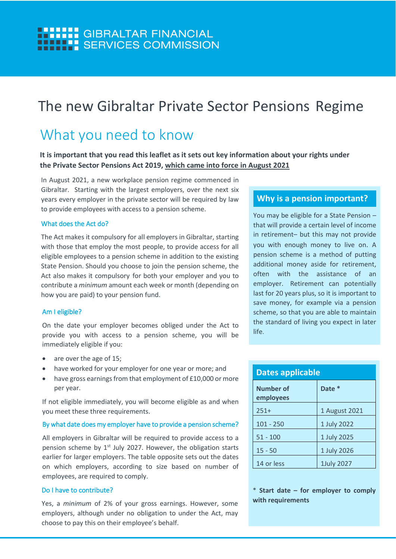### **HILLI:** GIBRALTAR FINANCIAL **HHH : SERVICES COMMISSION**

# The new Gibraltar Private Sector Pensions Regime

## What you need to know

**It is important that you read this leaflet as it sets out key information about your rights under the Private Sector Pensions Act 2019, which came into force in August 2021**

In August 2021, a new workplace pension regime commenced in Gibraltar. Starting with the largest employers, over the next six years every employer in the private sector will be required by law to provide employees with access to a pension scheme.

#### What does the Act do?

The Act makes it compulsory for all employers in Gibraltar, starting with those that employ the most people, to provide access for all eligible employees to a pension scheme in addition to the existing State Pension. Should you choose to join the pension scheme, the Act also makes it compulsory for both your employer and you to contribute a *minimum* amount each week or month (depending on how you are paid) to your pension fund.

#### Am I eligible?

On the date your employer becomes obliged under the Act to provide you with access to a pension scheme, you will be immediately eligible if you:

- are over the age of 15;
- have worked for your employer for one year or more; and
- have gross earnings from that employment of £10,000 or more per year.

If not eligible immediately, you will become eligible as and when you meet these three requirements.

#### By what date does my employer have to provide a pension scheme?

All employers in Gibraltar will be required to provide access to a pension scheme by 1<sup>st</sup> July 2027. However, the obligation starts earlier for larger employers. The table opposite sets out the dates on which employers, according to size based on number of employees, are required to comply.

#### Do I have to contribute?

Yes, a *minimum* of 2% of your gross earnings. However, some employers, although under no obligation to under the Act, may choose to pay this on their employee's behalf.

#### **Why is a pension important?**

You may be eligible for a State Pension – that will provide a certain level of income in retirement– but this may not provide you with enough money to live on. A pension scheme is a method of putting additional money aside for retirement, often with the assistance of an employer. Retirement can potentially last for 20 years plus, so it is important to save money, for example via a pension scheme, so that you are able to maintain the standard of living you expect in later life.

| <b>Dates applicable</b> |               |
|-------------------------|---------------|
| Number of<br>employees  | Date *        |
| $251+$                  | 1 August 2021 |
| $101 - 250$             | 1 July 2022   |
| $51 - 100$              | 1 July 2025   |
| $15 - 50$               | 1 July 2026   |
| 14 or less              | 1July 2027    |

\* **Start date – for employer to comply with requirements**